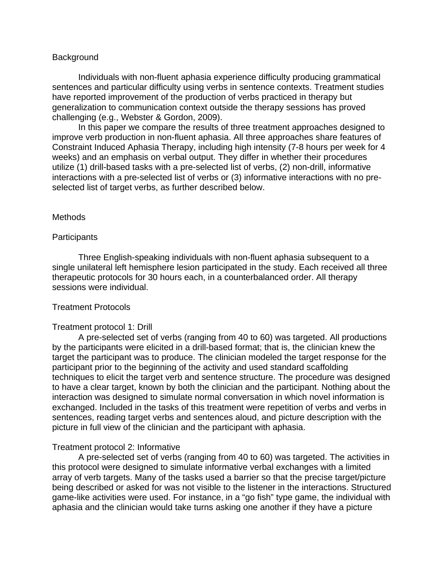### **Background**

Individuals with non-fluent aphasia experience difficulty producing grammatical sentences and particular difficulty using verbs in sentence contexts. Treatment studies have reported improvement of the production of verbs practiced in therapy but generalization to communication context outside the therapy sessions has proved challenging (e.g., Webster & Gordon, 2009).

In this paper we compare the results of three treatment approaches designed to improve verb production in non-fluent aphasia. All three approaches share features of Constraint Induced Aphasia Therapy, including high intensity (7-8 hours per week for 4 weeks) and an emphasis on verbal output. They differ in whether their procedures utilize (1) drill-based tasks with a pre-selected list of verbs, (2) non-drill, informative interactions with a pre-selected list of verbs or (3) informative interactions with no preselected list of target verbs, as further described below.

#### Methods

#### **Participants**

Three English-speaking individuals with non-fluent aphasia subsequent to a single unilateral left hemisphere lesion participated in the study. Each received all three therapeutic protocols for 30 hours each, in a counterbalanced order. All therapy sessions were individual.

# Treatment Protocols

#### Treatment protocol 1: Drill

A pre-selected set of verbs (ranging from 40 to 60) was targeted. All productions by the participants were elicited in a drill-based format; that is, the clinician knew the target the participant was to produce. The clinician modeled the target response for the participant prior to the beginning of the activity and used standard scaffolding techniques to elicit the target verb and sentence structure. The procedure was designed to have a clear target, known by both the clinician and the participant. Nothing about the interaction was designed to simulate normal conversation in which novel information is exchanged. Included in the tasks of this treatment were repetition of verbs and verbs in sentences, reading target verbs and sentences aloud, and picture description with the picture in full view of the clinician and the participant with aphasia.

# Treatment protocol 2: Informative

A pre-selected set of verbs (ranging from 40 to 60) was targeted. The activities in this protocol were designed to simulate informative verbal exchanges with a limited array of verb targets. Many of the tasks used a barrier so that the precise target/picture being described or asked for was not visible to the listener in the interactions. Structured game-like activities were used. For instance, in a "go fish" type game, the individual with aphasia and the clinician would take turns asking one another if they have a picture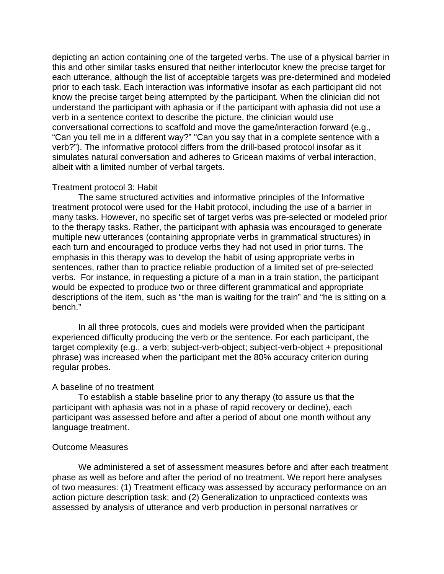depicting an action containing one of the targeted verbs. The use of a physical barrier in this and other similar tasks ensured that neither interlocutor knew the precise target for each utterance, although the list of acceptable targets was pre-determined and modeled prior to each task. Each interaction was informative insofar as each participant did not know the precise target being attempted by the participant. When the clinician did not understand the participant with aphasia or if the participant with aphasia did not use a verb in a sentence context to describe the picture, the clinician would use conversational corrections to scaffold and move the game/interaction forward (e.g., "Can you tell me in a different way?" "Can you say that in a complete sentence with a verb?"). The informative protocol differs from the drill-based protocol insofar as it simulates natural conversation and adheres to Gricean maxims of verbal interaction, albeit with a limited number of verbal targets.

#### Treatment protocol 3: Habit

The same structured activities and informative principles of the Informative treatment protocol were used for the Habit protocol, including the use of a barrier in many tasks. However, no specific set of target verbs was pre-selected or modeled prior to the therapy tasks. Rather, the participant with aphasia was encouraged to generate multiple new utterances (containing appropriate verbs in grammatical structures) in each turn and encouraged to produce verbs they had not used in prior turns. The emphasis in this therapy was to develop the habit of using appropriate verbs in sentences, rather than to practice reliable production of a limited set of pre-selected verbs. For instance, in requesting a picture of a man in a train station, the participant would be expected to produce two or three different grammatical and appropriate descriptions of the item, such as "the man is waiting for the train" and "he is sitting on a bench."

In all three protocols, cues and models were provided when the participant experienced difficulty producing the verb or the sentence. For each participant, the target complexity (e.g., a verb; subject-verb-object; subject-verb-object + prepositional phrase) was increased when the participant met the 80% accuracy criterion during regular probes.

#### A baseline of no treatment

To establish a stable baseline prior to any therapy (to assure us that the participant with aphasia was not in a phase of rapid recovery or decline), each participant was assessed before and after a period of about one month without any language treatment.

## Outcome Measures

We administered a set of assessment measures before and after each treatment phase as well as before and after the period of no treatment. We report here analyses of two measures: (1) Treatment efficacy was assessed by accuracy performance on an action picture description task; and (2) Generalization to unpracticed contexts was assessed by analysis of utterance and verb production in personal narratives or